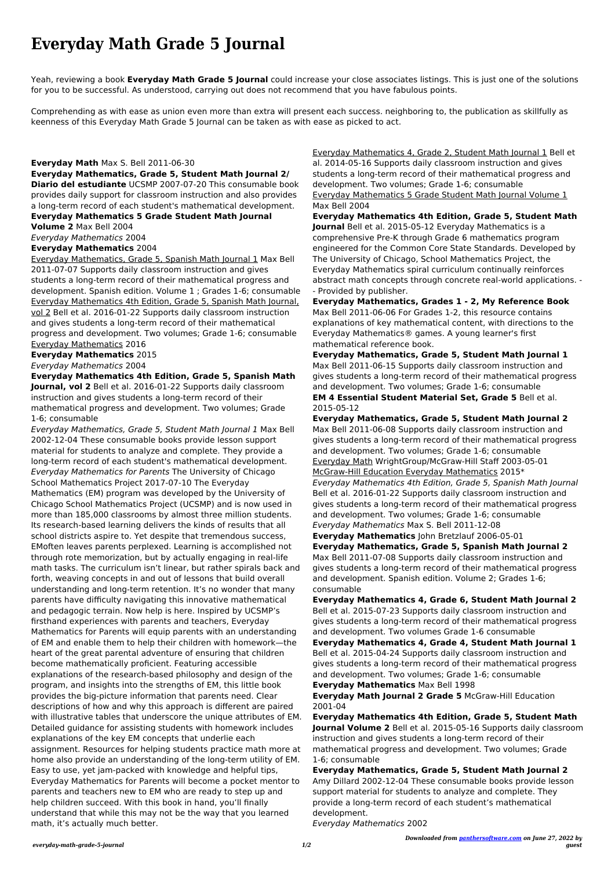# **Everyday Math Grade 5 Journal**

Yeah, reviewing a book **Everyday Math Grade 5 Journal** could increase your close associates listings. This is just one of the solutions for you to be successful. As understood, carrying out does not recommend that you have fabulous points.

Comprehending as with ease as union even more than extra will present each success. neighboring to, the publication as skillfully as keenness of this Everyday Math Grade 5 Journal can be taken as with ease as picked to act.

### **Everyday Math** Max S. Bell 2011-06-30

**Everyday Mathematics, Grade 5, Student Math Journal 2/**

**Diario del estudiante** UCSMP 2007-07-20 This consumable book provides daily support for classroom instruction and also provides a long-term record of each student's mathematical development.

#### **Everyday Mathematics 5 Grade Student Math Journal Volume 2** Max Bell 2004

Everyday Mathematics 2004

## **Everyday Mathematics** 2004

Everyday Mathematics, Grade 5, Spanish Math Journal 1 Max Bell 2011-07-07 Supports daily classroom instruction and gives students a long-term record of their mathematical progress and development. Spanish edition. Volume 1 ; Grades 1-6; consumable Everyday Mathematics 4th Edition, Grade 5, Spanish Math Journal, vol 2 Bell et al. 2016-01-22 Supports daily classroom instruction and gives students a long-term record of their mathematical progress and development. Two volumes; Grade 1-6; consumable Everyday Mathematics 2016

### **Everyday Mathematics** 2015

Everyday Mathematics 2004

**Everyday Mathematics 4th Edition, Grade 5, Spanish Math Journal, vol 2** Bell et al. 2016-01-22 Supports daily classroom instruction and gives students a long-term record of their mathematical progress and development. Two volumes; Grade 1-6; consumable

Everyday Mathematics, Grade 5, Student Math Journal 1 Max Bell 2002-12-04 These consumable books provide lesson support material for students to analyze and complete. They provide a long-term record of each student's mathematical development. Everyday Mathematics for Parents The University of Chicago School Mathematics Project 2017-07-10 The Everyday Mathematics (EM) program was developed by the University of Chicago School Mathematics Project (UCSMP) and is now used in more than 185,000 classrooms by almost three million students. Its research-based learning delivers the kinds of results that all school districts aspire to. Yet despite that tremendous success, EMoften leaves parents perplexed. Learning is accomplished not through rote memorization, but by actually engaging in real-life math tasks. The curriculum isn't linear, but rather spirals back and forth, weaving concepts in and out of lessons that build overall understanding and long-term retention. It's no wonder that many parents have difficulty navigating this innovative mathematical and pedagogic terrain. Now help is here. Inspired by UCSMP's firsthand experiences with parents and teachers, Everyday Mathematics for Parents will equip parents with an understanding of EM and enable them to help their children with homework—the heart of the great parental adventure of ensuring that children become mathematically proficient. Featuring accessible explanations of the research-based philosophy and design of the program, and insights into the strengths of EM, this little book provides the big-picture information that parents need. Clear descriptions of how and why this approach is different are paired with illustrative tables that underscore the unique attributes of EM. Detailed guidance for assisting students with homework includes explanations of the key EM concepts that underlie each assignment. Resources for helping students practice math more at home also provide an understanding of the long-term utility of EM. Easy to use, yet jam-packed with knowledge and helpful tips, Everyday Mathematics for Parents will become a pocket mentor to parents and teachers new to EM who are ready to step up and help children succeed. With this book in hand, you'll finally understand that while this may not be the way that you learned math, it's actually much better.

Everyday Mathematics 4, Grade 2, Student Math Journal 1 Bell et al. 2014-05-16 Supports daily classroom instruction and gives students a long-term record of their mathematical progress and development. Two volumes; Grade 1-6; consumable Everyday Mathematics 5 Grade Student Math Journal Volume 1 Max Bell 2004

**Everyday Mathematics 4th Edition, Grade 5, Student Math Journal** Bell et al. 2015-05-12 Everyday Mathematics is a comprehensive Pre-K through Grade 6 mathematics program engineered for the Common Core State Standards. Developed by The University of Chicago, School Mathematics Project, the Everyday Mathematics spiral curriculum continually reinforces abstract math concepts through concrete real-world applications. - - Provided by publisher.

**Everyday Mathematics, Grades 1 - 2, My Reference Book** Max Bell 2011-06-06 For Grades 1-2, this resource contains explanations of key mathematical content, with directions to the Everyday Mathematics® games. A young learner's first mathematical reference book.

**Everyday Mathematics, Grade 5, Student Math Journal 1** Max Bell 2011-06-15 Supports daily classroom instruction and gives students a long-term record of their mathematical progress and development. Two volumes; Grade 1-6; consumable **EM 4 Essential Student Material Set, Grade 5** Bell et al. 2015-05-12

**Everyday Mathematics, Grade 5, Student Math Journal 2** Max Bell 2011-06-08 Supports daily classroom instruction and gives students a long-term record of their mathematical progress and development. Two volumes; Grade 1-6; consumable Everyday Math WrightGroup/McGraw-Hill Staff 2003-05-01 McGraw-Hill Education Everyday Mathematics 2015\*

Everyday Mathematics 4th Edition, Grade 5, Spanish Math Journal Bell et al. 2016-01-22 Supports daily classroom instruction and gives students a long-term record of their mathematical progress and development. Two volumes; Grade 1-6; consumable Everyday Mathematics Max S. Bell 2011-12-08

**Everyday Mathematics** John Bretzlauf 2006-05-01 **Everyday Mathematics, Grade 5, Spanish Math Journal 2** Max Bell 2011-07-08 Supports daily classroom instruction and gives students a long-term record of their mathematical progress and development. Spanish edition. Volume 2; Grades 1-6; consumable

**Everyday Mathematics 4, Grade 6, Student Math Journal 2** Bell et al. 2015-07-23 Supports daily classroom instruction and gives students a long-term record of their mathematical progress and development. Two volumes Grade 1-6 consumable

**Everyday Mathematics 4, Grade 4, Student Math Journal 1** Bell et al. 2015-04-24 Supports daily classroom instruction and gives students a long-term record of their mathematical progress and development. Two volumes; Grade 1-6; consumable **Everyday Mathematics** Max Bell 1998 **Everyday Math Journal 2 Grade 5** McGraw-Hill Education 2001-04

**Everyday Mathematics 4th Edition, Grade 5, Student Math Journal Volume 2** Bell et al. 2015-05-16 Supports daily classroom instruction and gives students a long-term record of their mathematical progress and development. Two volumes; Grade 1-6; consumable

**Everyday Mathematics, Grade 5, Student Math Journal 2** Amy Dillard 2002-12-04 These consumable books provide lesson support material for students to analyze and complete. They provide a long-term record of each student's mathematical development.

Everyday Mathematics 2002